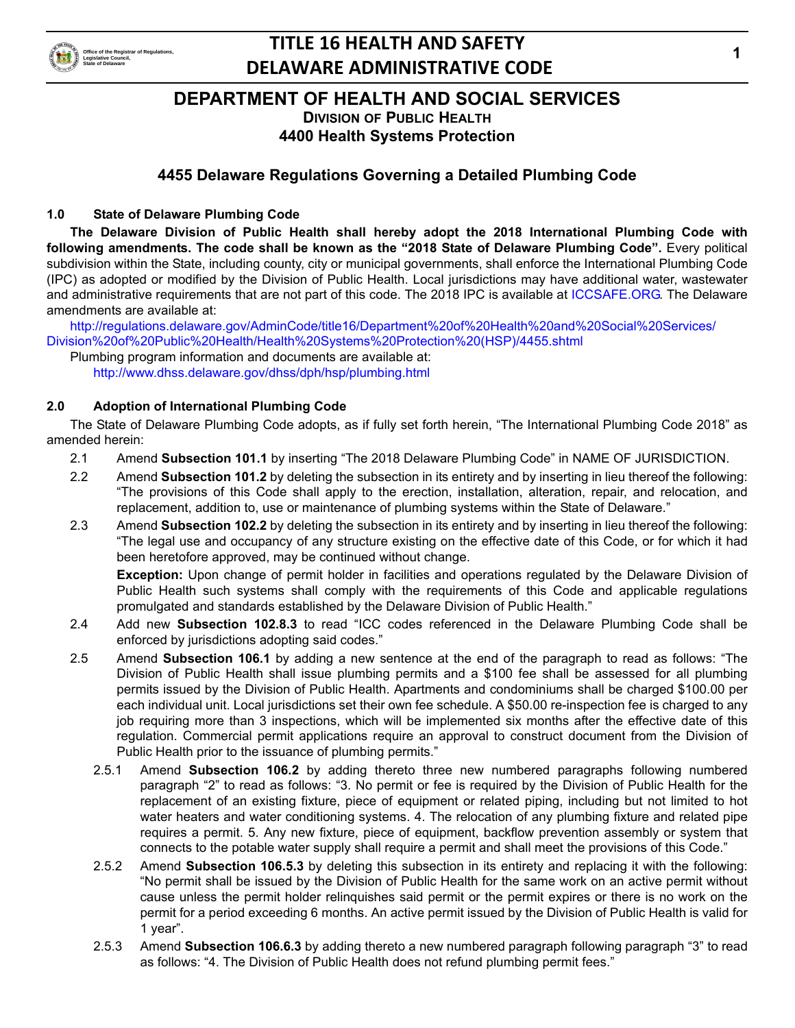

# **DEPARTMENT OF HEALTH AND SOCIAL SERVICES**

**DIVISION OF PUBLIC HEALTH 4400 Health Systems Protection**

# **4455 Delaware Regulations Governing a Detailed Plumbing Code**

## **1.0 State of Delaware Plumbing Code**

**The Delaware Division of Public Health shall hereby adopt the 2018 International Plumbing Code with following amendments. The code shall be known as the "2018 State of Delaware Plumbing Code".** Every political subdivision within the State, including county, city or municipal governments, shall enforce the International Plumbing Code (IPC) as adopted or modified by the Division of Public Health. Local jurisdictions may have additional water, wastewater and administrative requirements that are not part of this code. The 2018 IPC is available at [ICCSAFE.ORG](https://www.iccsafe.org/). The Delaware amendments are available at:

[http://regulations.delaware.gov/AdminCode/title16/Department%20of%20Health%20and%20Social%20Services/](http://regulations.delaware.gov/AdminCode/title16/Department%20of%20Health%20and%20Social%20Services/Division%20of%20Public%20Health/Health%20Systems%20Protection%20(HSP)/4455.shtml) Division%20of%20Public%20Health/Health%20Systems%20Protection%20(HSP)/4455.shtml

Plumbing program information and documents are available at: http://www.dhss.delaware.gov/dhss/dph/hsp/plumbing.html

## **2.0 Adoption of International Plumbing Code**

The State of Delaware Plumbing Code adopts, as if fully set forth herein, "The International Plumbing Code 2018" as amended herein:

- 2.1 Amend **Subsection 101.1** by inserting "The 2018 Delaware Plumbing Code" in NAME OF JURISDICTION.
- 2.2 Amend **Subsection 101.2** by deleting the subsection in its entirety and by inserting in lieu thereof the following: "The provisions of this Code shall apply to the erection, installation, alteration, repair, and relocation, and replacement, addition to, use or maintenance of plumbing systems within the State of Delaware."
- 2.3 Amend **Subsection 102.2** by deleting the subsection in its entirety and by inserting in lieu thereof the following: "The legal use and occupancy of any structure existing on the effective date of this Code, or for which it had been heretofore approved, may be continued without change.

**Exception:** Upon change of permit holder in facilities and operations regulated by the Delaware Division of Public Health such systems shall comply with the requirements of this Code and applicable regulations promulgated and standards established by the Delaware Division of Public Health."

- 2.4 Add new **Subsection 102.8.3** to read "ICC codes referenced in the Delaware Plumbing Code shall be enforced by jurisdictions adopting said codes."
- 2.5 Amend **Subsection 106.1** by adding a new sentence at the end of the paragraph to read as follows: "The Division of Public Health shall issue plumbing permits and a \$100 fee shall be assessed for all plumbing permits issued by the Division of Public Health. Apartments and condominiums shall be charged \$100.00 per each individual unit. Local jurisdictions set their own fee schedule. A \$50.00 re-inspection fee is charged to any job requiring more than 3 inspections, which will be implemented six months after the effective date of this regulation. Commercial permit applications require an approval to construct document from the Division of Public Health prior to the issuance of plumbing permits."
	- 2.5.1 Amend **Subsection 106.2** by adding thereto three new numbered paragraphs following numbered paragraph "2" to read as follows: "3. No permit or fee is required by the Division of Public Health for the replacement of an existing fixture, piece of equipment or related piping, including but not limited to hot water heaters and water conditioning systems. 4. The relocation of any plumbing fixture and related pipe requires a permit. 5. Any new fixture, piece of equipment, backflow prevention assembly or system that connects to the potable water supply shall require a permit and shall meet the provisions of this Code."
	- 2.5.2 Amend **Subsection 106.5.3** by deleting this subsection in its entirety and replacing it with the following: "No permit shall be issued by the Division of Public Health for the same work on an active permit without cause unless the permit holder relinquishes said permit or the permit expires or there is no work on the permit for a period exceeding 6 months. An active permit issued by the Division of Public Health is valid for 1 year".
	- 2.5.3 Amend **Subsection 106.6.3** by adding thereto a new numbered paragraph following paragraph "3" to read as follows: "4. The Division of Public Health does not refund plumbing permit fees."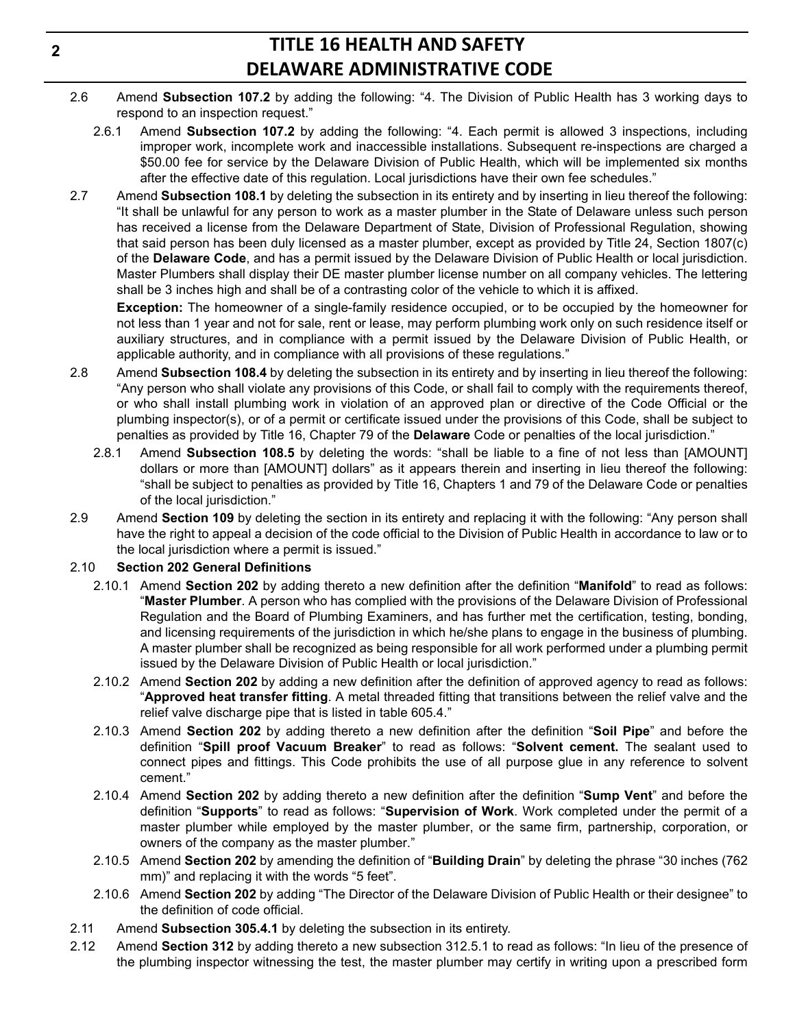- 2.6 Amend **Subsection 107.2** by adding the following: "4. The Division of Public Health has 3 working days to respond to an inspection request."
	- 2.6.1 Amend **Subsection 107.2** by adding the following: "4. Each permit is allowed 3 inspections, including improper work, incomplete work and inaccessible installations. Subsequent re-inspections are charged a \$50.00 fee for service by the Delaware Division of Public Health, which will be implemented six months after the effective date of this regulation. Local jurisdictions have their own fee schedules."
- 2.7 Amend **Subsection 108.1** by deleting the subsection in its entirety and by inserting in lieu thereof the following: "It shall be unlawful for any person to work as a master plumber in the State of Delaware unless such person has received a license from the Delaware Department of State, Division of Professional Regulation, showing that said person has been duly licensed as a master plumber, except as provided by Title 24, Section 1807(c) of the **Delaware Code**, and has a permit issued by the Delaware Division of Public Health or local jurisdiction. Master Plumbers shall display their DE master plumber license number on all company vehicles. The lettering shall be 3 inches high and shall be of a contrasting color of the vehicle to which it is affixed.

**Exception:** The homeowner of a single-family residence occupied, or to be occupied by the homeowner for not less than 1 year and not for sale, rent or lease, may perform plumbing work only on such residence itself or auxiliary structures, and in compliance with a permit issued by the Delaware Division of Public Health, or applicable authority, and in compliance with all provisions of these regulations."

- 2.8 Amend **Subsection 108.4** by deleting the subsection in its entirety and by inserting in lieu thereof the following: "Any person who shall violate any provisions of this Code, or shall fail to comply with the requirements thereof, or who shall install plumbing work in violation of an approved plan or directive of the Code Official or the plumbing inspector(s), or of a permit or certificate issued under the provisions of this Code, shall be subject to penalties as provided by Title 16, Chapter 79 of the **Delaware** Code or penalties of the local jurisdiction."
	- 2.8.1 Amend **Subsection 108.5** by deleting the words: "shall be liable to a fine of not less than [AMOUNT] dollars or more than [AMOUNT] dollars" as it appears therein and inserting in lieu thereof the following: "shall be subject to penalties as provided by Title 16, Chapters 1 and 79 of the Delaware Code or penalties of the local jurisdiction."
- 2.9 Amend **Section 109** by deleting the section in its entirety and replacing it with the following: "Any person shall have the right to appeal a decision of the code official to the Division of Public Health in accordance to law or to the local jurisdiction where a permit is issued."

## 2.10 **Section 202 General Definitions**

- 2.10.1 Amend **Section 202** by adding thereto a new definition after the definition "**Manifold**" to read as follows: "**Master Plumber**. A person who has complied with the provisions of the Delaware Division of Professional Regulation and the Board of Plumbing Examiners, and has further met the certification, testing, bonding, and licensing requirements of the jurisdiction in which he/she plans to engage in the business of plumbing. A master plumber shall be recognized as being responsible for all work performed under a plumbing permit issued by the Delaware Division of Public Health or local jurisdiction."
- 2.10.2 Amend **Section 202** by adding a new definition after the definition of approved agency to read as follows: "**Approved heat transfer fitting**. A metal threaded fitting that transitions between the relief valve and the relief valve discharge pipe that is listed in table 605.4."
- 2.10.3 Amend **Section 202** by adding thereto a new definition after the definition "**Soil Pipe**" and before the definition "**Spill proof Vacuum Breaker**" to read as follows: "**Solvent cement.** The sealant used to connect pipes and fittings. This Code prohibits the use of all purpose glue in any reference to solvent cement."
- 2.10.4 Amend **Section 202** by adding thereto a new definition after the definition "**Sump Vent**" and before the definition "**Supports**" to read as follows: "**Supervision of Work**. Work completed under the permit of a master plumber while employed by the master plumber, or the same firm, partnership, corporation, or owners of the company as the master plumber."
- 2.10.5 Amend **Section 202** by amending the definition of "**Building Drain**" by deleting the phrase "30 inches (762 mm)" and replacing it with the words "5 feet".
- 2.10.6 Amend **Section 202** by adding "The Director of the Delaware Division of Public Health or their designee" to the definition of code official.
- 2.11 Amend **Subsection 305.4.1** by deleting the subsection in its entirety.
- 2.12 Amend **Section 312** by adding thereto a new subsection 312.5.1 to read as follows: "In lieu of the presence of the plumbing inspector witnessing the test, the master plumber may certify in writing upon a prescribed form

**2**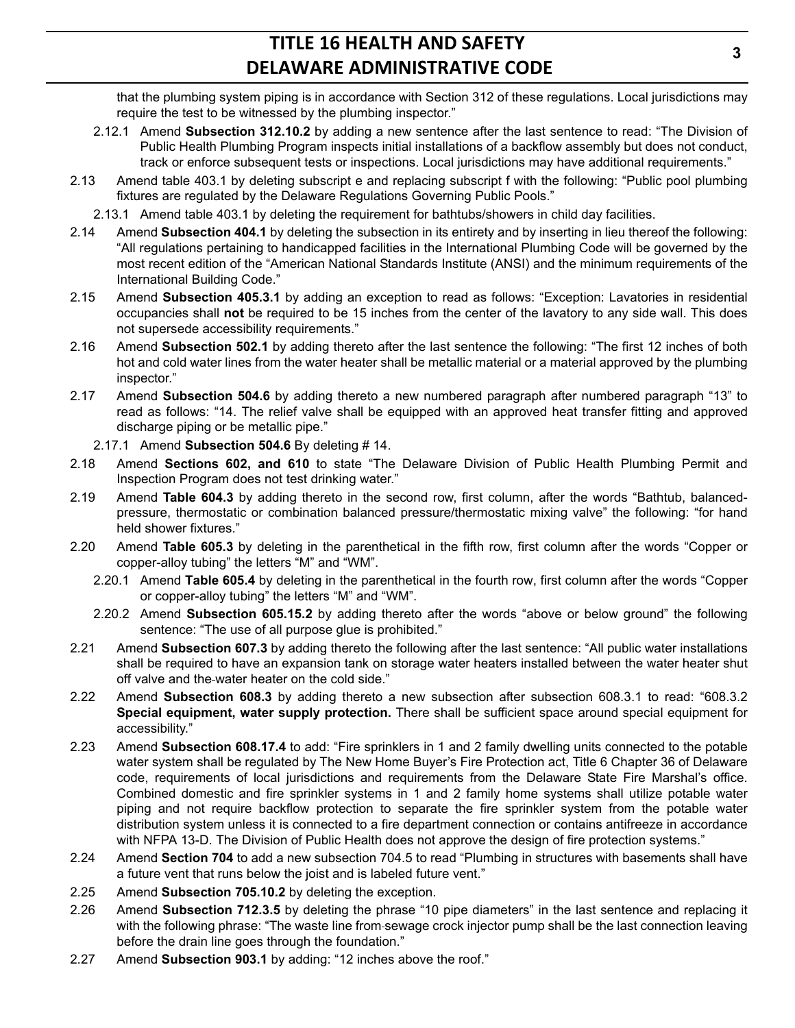that the plumbing system piping is in accordance with Section 312 of these regulations. Local jurisdictions may require the test to be witnessed by the plumbing inspector."

- 2.12.1 Amend **Subsection 312.10.2** by adding a new sentence after the last sentence to read: "The Division of Public Health Plumbing Program inspects initial installations of a backflow assembly but does not conduct, track or enforce subsequent tests or inspections. Local jurisdictions may have additional requirements."
- 2.13 Amend table 403.1 by deleting subscript e and replacing subscript f with the following: "Public pool plumbing fixtures are regulated by the Delaware Regulations Governing Public Pools."
	- 2.13.1 Amend table 403.1 by deleting the requirement for bathtubs/showers in child day facilities.
- 2.14 Amend **Subsection 404.1** by deleting the subsection in its entirety and by inserting in lieu thereof the following: "All regulations pertaining to handicapped facilities in the International Plumbing Code will be governed by the most recent edition of the "American National Standards Institute (ANSI) and the minimum requirements of the International Building Code."
- 2.15 Amend **Subsection 405.3.1** by adding an exception to read as follows: "Exception: Lavatories in residential occupancies shall **not** be required to be 15 inches from the center of the lavatory to any side wall. This does not supersede accessibility requirements."
- 2.16 Amend **Subsection 502.1** by adding thereto after the last sentence the following: "The first 12 inches of both hot and cold water lines from the water heater shall be metallic material or a material approved by the plumbing inspector."
- 2.17 Amend **Subsection 504.6** by adding thereto a new numbered paragraph after numbered paragraph "13" to read as follows: "14. The relief valve shall be equipped with an approved heat transfer fitting and approved discharge piping or be metallic pipe."
	- 2.17.1 Amend **Subsection 504.6** By deleting # 14.
- 2.18 Amend **Sections 602, and 610** to state "The Delaware Division of Public Health Plumbing Permit and Inspection Program does not test drinking water."
- 2.19 Amend **Table 604.3** by adding thereto in the second row, first column, after the words "Bathtub, balancedpressure, thermostatic or combination balanced pressure/thermostatic mixing valve" the following: "for hand held shower fixtures."
- 2.20 Amend **Table 605.3** by deleting in the parenthetical in the fifth row, first column after the words "Copper or copper-alloy tubing" the letters "M" and "WM".
	- 2.20.1 Amend **Table 605.4** by deleting in the parenthetical in the fourth row, first column after the words "Copper or copper-alloy tubing" the letters "M" and "WM".
	- 2.20.2 Amend **Subsection 605.15.2** by adding thereto after the words "above or below ground" the following sentence: "The use of all purpose glue is prohibited."
- 2.21 Amend **Subsection 607.3** by adding thereto the following after the last sentence: "All public water installations shall be required to have an expansion tank on storage water heaters installed between the water heater shut off valve and the water heater on the cold side."
- 2.22 Amend **Subsection 608.3** by adding thereto a new subsection after subsection 608.3.1 to read: "608.3.2 **Special equipment, water supply protection.** There shall be sufficient space around special equipment for accessibility."
- 2.23 Amend **Subsection 608.17.4** to add: "Fire sprinklers in 1 and 2 family dwelling units connected to the potable water system shall be regulated by The New Home Buyer's Fire Protection act, Title 6 Chapter 36 of Delaware code, requirements of local jurisdictions and requirements from the Delaware State Fire Marshal's office. Combined domestic and fire sprinkler systems in 1 and 2 family home systems shall utilize potable water piping and not require backflow protection to separate the fire sprinkler system from the potable water distribution system unless it is connected to a fire department connection or contains antifreeze in accordance with NFPA 13-D. The Division of Public Health does not approve the design of fire protection systems."
- 2.24 Amend **Section 704** to add a new subsection 704.5 to read "Plumbing in structures with basements shall have a future vent that runs below the joist and is labeled future vent."
- 2.25 Amend **Subsection 705.10.2** by deleting the exception.
- 2.26 Amend **Subsection 712.3.5** by deleting the phrase "10 pipe diameters" in the last sentence and replacing it with the following phrase: "The waste line from sewage crock injector pump shall be the last connection leaving before the drain line goes through the foundation."
- 2.27 Amend **Subsection 903.1** by adding: "12 inches above the roof."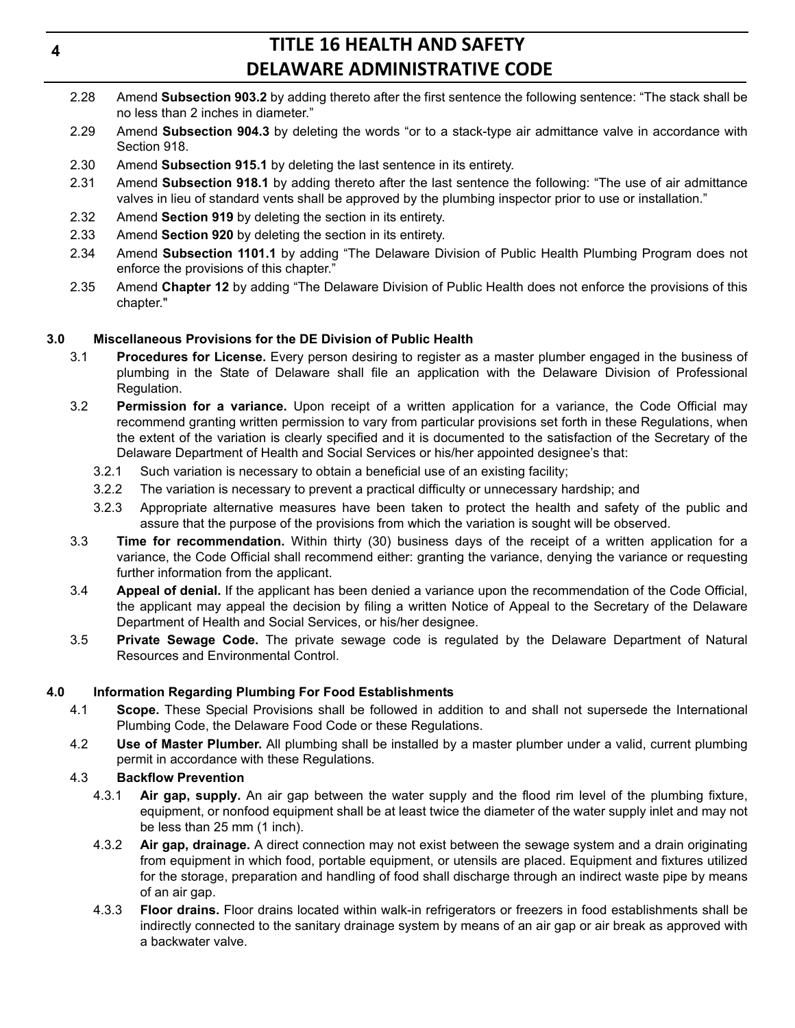- 2.28 Amend **Subsection 903.2** by adding thereto after the first sentence the following sentence: "The stack shall be no less than 2 inches in diameter."
- 2.29 Amend **Subsection 904.3** by deleting the words "or to a stack-type air admittance valve in accordance with Section 918.
- 2.30 Amend **Subsection 915.1** by deleting the last sentence in its entirety.
- 2.31 Amend **Subsection 918.1** by adding thereto after the last sentence the following: "The use of air admittance valves in lieu of standard vents shall be approved by the plumbing inspector prior to use or installation."
- 2.32 Amend **Section 919** by deleting the section in its entirety.
- 2.33 Amend **Section 920** by deleting the section in its entirety.
- 2.34 Amend **Subsection 1101.1** by adding "The Delaware Division of Public Health Plumbing Program does not enforce the provisions of this chapter."
- 2.35 Amend **Chapter 12** by adding "The Delaware Division of Public Health does not enforce the provisions of this chapter."

# **3.0 Miscellaneous Provisions for the DE Division of Public Health**

- 3.1 **Procedures for License.** Every person desiring to register as a master plumber engaged in the business of plumbing in the State of Delaware shall file an application with the Delaware Division of Professional Regulation.
- 3.2 **Permission for a variance.** Upon receipt of a written application for a variance, the Code Official may recommend granting written permission to vary from particular provisions set forth in these Regulations, when the extent of the variation is clearly specified and it is documented to the satisfaction of the Secretary of the Delaware Department of Health and Social Services or his/her appointed designee's that:
	- 3.2.1 Such variation is necessary to obtain a beneficial use of an existing facility;
	- 3.2.2 The variation is necessary to prevent a practical difficulty or unnecessary hardship; and
	- 3.2.3 Appropriate alternative measures have been taken to protect the health and safety of the public and assure that the purpose of the provisions from which the variation is sought will be observed.
- 3.3 **Time for recommendation.** Within thirty (30) business days of the receipt of a written application for a variance, the Code Official shall recommend either: granting the variance, denying the variance or requesting further information from the applicant.
- 3.4 **Appeal of denial.** If the applicant has been denied a variance upon the recommendation of the Code Official, the applicant may appeal the decision by filing a written Notice of Appeal to the Secretary of the Delaware Department of Health and Social Services, or his/her designee.
- 3.5 **Private Sewage Code.** The private sewage code is regulated by the Delaware Department of Natural Resources and Environmental Control.

## **4.0 Information Regarding Plumbing For Food Establishments**

- 4.1 **Scope.** These Special Provisions shall be followed in addition to and shall not supersede the International Plumbing Code, the Delaware Food Code or these Regulations.
- 4.2 **Use of Master Plumber.** All plumbing shall be installed by a master plumber under a valid, current plumbing permit in accordance with these Regulations.

## 4.3 **Backflow Prevention**

- 4.3.1 **Air gap, supply.** An air gap between the water supply and the flood rim level of the plumbing fixture, equipment, or nonfood equipment shall be at least twice the diameter of the water supply inlet and may not be less than 25 mm (1 inch).
- 4.3.2 **Air gap, drainage.** A direct connection may not exist between the sewage system and a drain originating from equipment in which food, portable equipment, or utensils are placed. Equipment and fixtures utilized for the storage, preparation and handling of food shall discharge through an indirect waste pipe by means of an air gap.
- 4.3.3 **Floor drains.** Floor drains located within walk-in refrigerators or freezers in food establishments shall be indirectly connected to the sanitary drainage system by means of an air gap or air break as approved with a backwater valve.

**4**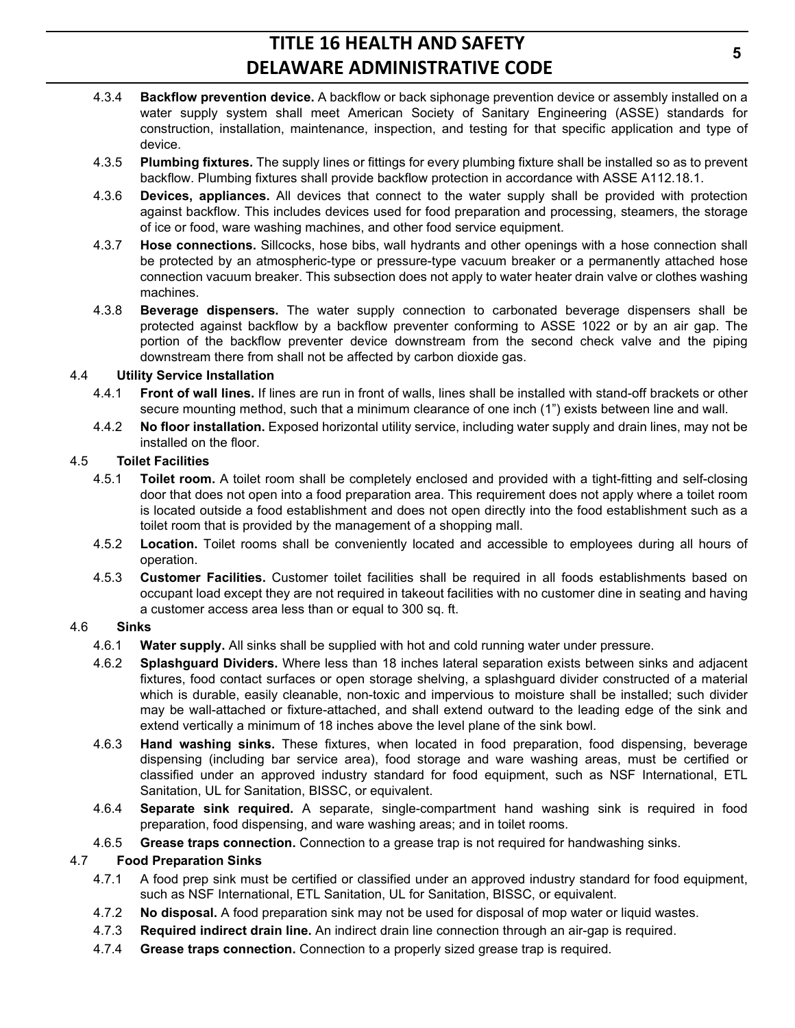- 4.3.4 **Backflow prevention device.** A backflow or back siphonage prevention device or assembly installed on a water supply system shall meet American Society of Sanitary Engineering (ASSE) standards for construction, installation, maintenance, inspection, and testing for that specific application and type of device.
- 4.3.5 **Plumbing fixtures.** The supply lines or fittings for every plumbing fixture shall be installed so as to prevent backflow. Plumbing fixtures shall provide backflow protection in accordance with ASSE A112.18.1.
- 4.3.6 **Devices, appliances.** All devices that connect to the water supply shall be provided with protection against backflow. This includes devices used for food preparation and processing, steamers, the storage of ice or food, ware washing machines, and other food service equipment.
- 4.3.7 **Hose connections.** Sillcocks, hose bibs, wall hydrants and other openings with a hose connection shall be protected by an atmospheric-type or pressure-type vacuum breaker or a permanently attached hose connection vacuum breaker. This subsection does not apply to water heater drain valve or clothes washing machines.
- 4.3.8 **Beverage dispensers.** The water supply connection to carbonated beverage dispensers shall be protected against backflow by a backflow preventer conforming to ASSE 1022 or by an air gap. The portion of the backflow preventer device downstream from the second check valve and the piping downstream there from shall not be affected by carbon dioxide gas.

#### 4.4 **Utility Service Installation**

- 4.4.1 **Front of wall lines.** If lines are run in front of walls, lines shall be installed with stand-off brackets or other secure mounting method, such that a minimum clearance of one inch (1") exists between line and wall.
- 4.4.2 **No floor installation.** Exposed horizontal utility service, including water supply and drain lines, may not be installed on the floor.

#### 4.5 **Toilet Facilities**

- 4.5.1 **Toilet room.** A toilet room shall be completely enclosed and provided with a tight-fitting and self-closing door that does not open into a food preparation area. This requirement does not apply where a toilet room is located outside a food establishment and does not open directly into the food establishment such as a toilet room that is provided by the management of a shopping mall.
- 4.5.2 **Location.** Toilet rooms shall be conveniently located and accessible to employees during all hours of operation.
- 4.5.3 **Customer Facilities.** Customer toilet facilities shall be required in all foods establishments based on occupant load except they are not required in takeout facilities with no customer dine in seating and having a customer access area less than or equal to 300 sq. ft.

#### 4.6 **Sinks**

- 4.6.1 **Water supply.** All sinks shall be supplied with hot and cold running water under pressure.
- 4.6.2 **Splashguard Dividers.** Where less than 18 inches lateral separation exists between sinks and adjacent fixtures, food contact surfaces or open storage shelving, a splashguard divider constructed of a material which is durable, easily cleanable, non-toxic and impervious to moisture shall be installed; such divider may be wall-attached or fixture-attached, and shall extend outward to the leading edge of the sink and extend vertically a minimum of 18 inches above the level plane of the sink bowl.
- 4.6.3 **Hand washing sinks.** These fixtures, when located in food preparation, food dispensing, beverage dispensing (including bar service area), food storage and ware washing areas, must be certified or classified under an approved industry standard for food equipment, such as NSF International, ETL Sanitation, UL for Sanitation, BISSC, or equivalent.
- 4.6.4 **Separate sink required.** A separate, single-compartment hand washing sink is required in food preparation, food dispensing, and ware washing areas; and in toilet rooms.
- 4.6.5 **Grease traps connection.** Connection to a grease trap is not required for handwashing sinks.

## 4.7 **Food Preparation Sinks**

- 4.7.1 A food prep sink must be certified or classified under an approved industry standard for food equipment, such as NSF International, ETL Sanitation, UL for Sanitation, BISSC, or equivalent.
- 4.7.2 **No disposal.** A food preparation sink may not be used for disposal of mop water or liquid wastes.
- 4.7.3 **Required indirect drain line.** An indirect drain line connection through an air-gap is required.
- 4.7.4 **Grease traps connection.** Connection to a properly sized grease trap is required.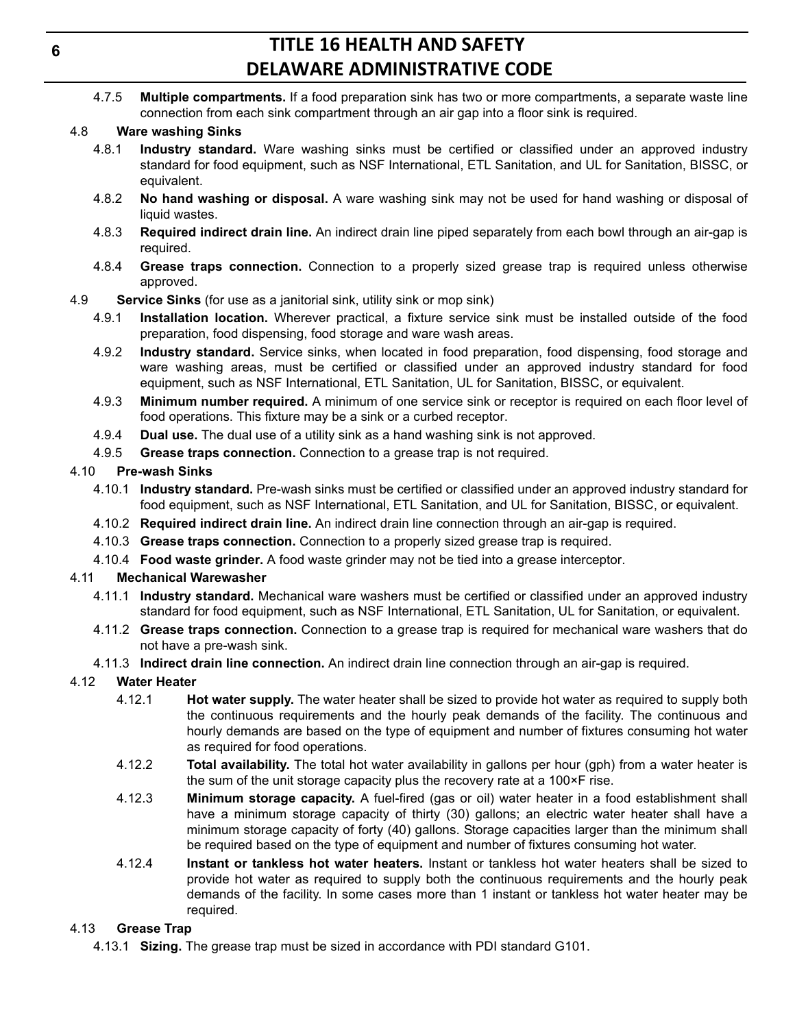4.7.5 **Multiple compartments.** If a food preparation sink has two or more compartments, a separate waste line connection from each sink compartment through an air gap into a floor sink is required.

#### 4.8 **Ware washing Sinks**

- 4.8.1 **Industry standard.** Ware washing sinks must be certified or classified under an approved industry standard for food equipment, such as NSF International, ETL Sanitation, and UL for Sanitation, BISSC, or equivalent.
- 4.8.2 **No hand washing or disposal.** A ware washing sink may not be used for hand washing or disposal of liquid wastes.
- 4.8.3 **Required indirect drain line.** An indirect drain line piped separately from each bowl through an air-gap is required.
- 4.8.4 **Grease traps connection.** Connection to a properly sized grease trap is required unless otherwise approved.

#### 4.9 **Service Sinks** (for use as a janitorial sink, utility sink or mop sink)

- 4.9.1 **Installation location.** Wherever practical, a fixture service sink must be installed outside of the food preparation, food dispensing, food storage and ware wash areas.
- 4.9.2 **Industry standard.** Service sinks, when located in food preparation, food dispensing, food storage and ware washing areas, must be certified or classified under an approved industry standard for food equipment, such as NSF International, ETL Sanitation, UL for Sanitation, BISSC, or equivalent.
- 4.9.3 **Minimum number required.** A minimum of one service sink or receptor is required on each floor level of food operations. This fixture may be a sink or a curbed receptor.
- 4.9.4 **Dual use.** The dual use of a utility sink as a hand washing sink is not approved.
- 4.9.5 **Grease traps connection.** Connection to a grease trap is not required.

#### 4.10 **Pre-wash Sinks**

- 4.10.1 **Industry standard.** Pre-wash sinks must be certified or classified under an approved industry standard for food equipment, such as NSF International, ETL Sanitation, and UL for Sanitation, BISSC, or equivalent.
- 4.10.2 **Required indirect drain line.** An indirect drain line connection through an air-gap is required.
- 4.10.3 **Grease traps connection.** Connection to a properly sized grease trap is required.
- 4.10.4 **Food waste grinder.** A food waste grinder may not be tied into a grease interceptor.

## 4.11 **Mechanical Warewasher**

- 4.11.1 **Industry standard.** Mechanical ware washers must be certified or classified under an approved industry standard for food equipment, such as NSF International, ETL Sanitation, UL for Sanitation, or equivalent.
- 4.11.2 **Grease traps connection.** Connection to a grease trap is required for mechanical ware washers that do not have a pre-wash sink.
- 4.11.3 **Indirect drain line connection.** An indirect drain line connection through an air-gap is required.

## 4.12 **Water Heater**

- 4.12.1 **Hot water supply.** The water heater shall be sized to provide hot water as required to supply both the continuous requirements and the hourly peak demands of the facility. The continuous and hourly demands are based on the type of equipment and number of fixtures consuming hot water as required for food operations.
- 4.12.2 **Total availability.** The total hot water availability in gallons per hour (gph) from a water heater is the sum of the unit storage capacity plus the recovery rate at a 100×F rise.
- 4.12.3 **Minimum storage capacity.** A fuel-fired (gas or oil) water heater in a food establishment shall have a minimum storage capacity of thirty (30) gallons; an electric water heater shall have a minimum storage capacity of forty (40) gallons. Storage capacities larger than the minimum shall be required based on the type of equipment and number of fixtures consuming hot water.
- 4.12.4 **Instant or tankless hot water heaters.** Instant or tankless hot water heaters shall be sized to provide hot water as required to supply both the continuous requirements and the hourly peak demands of the facility. In some cases more than 1 instant or tankless hot water heater may be required.

## 4.13 **Grease Trap**

4.13.1 **Sizing.** The grease trap must be sized in accordance with PDI standard G101.

**6**